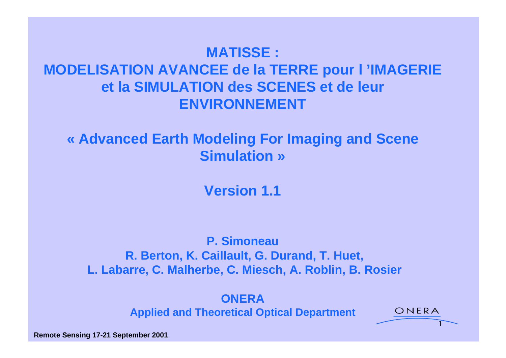# **MATISSE : MODELISATION AVANCEE de la TERRE pour l 'IMAGERIE**

# **et la SIMULATION des SCENES et de leur ENVIRONNEMENT**

### **« Advanced Earth Modeling For Imaging and Scene Simulation »**

**Version 1.1**

### **P. Simoneau R. Berton, K. Caillault, G. Durand, T. Huet, L. Labarre, C. Malherbe, C. Miesch, A. Roblin, B. Rosier**

**ONERA** *CONERA <b>CONERA CONERA <b>CONERA* **Applied and Theoretical Optical Department**

1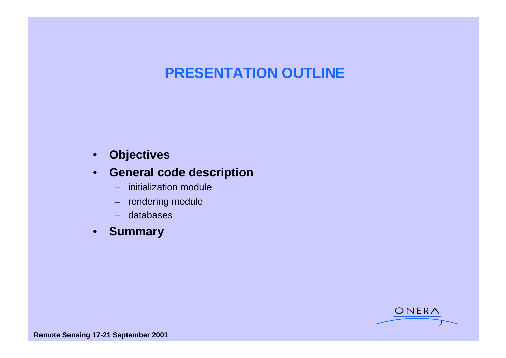### **PRESENTATION OUTLINE**

#### • **Objectives**

#### • **General code description**

- initialization module
- rendering module
- databases
- **Summary**

 $2 \rightarrow$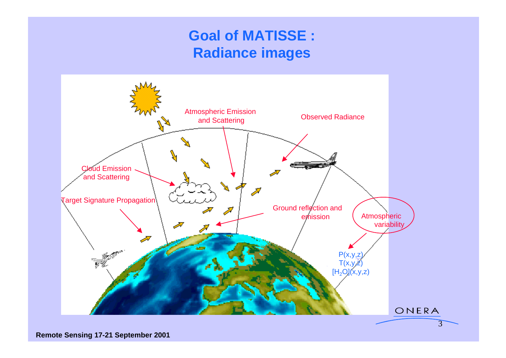### **Goal of MATISSE : Radiance images**

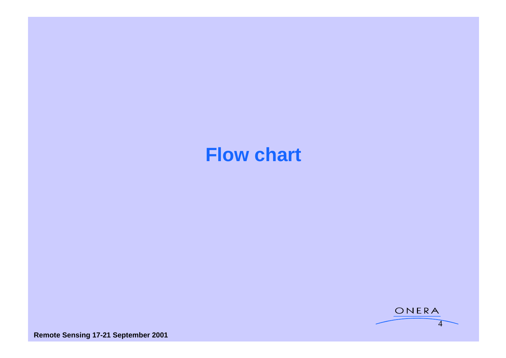# **Flow chart**

![](_page_3_Picture_1.jpeg)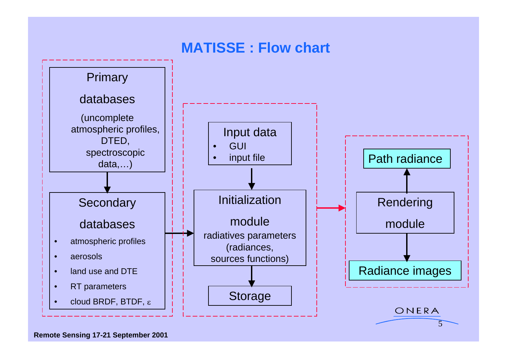![](_page_4_Figure_0.jpeg)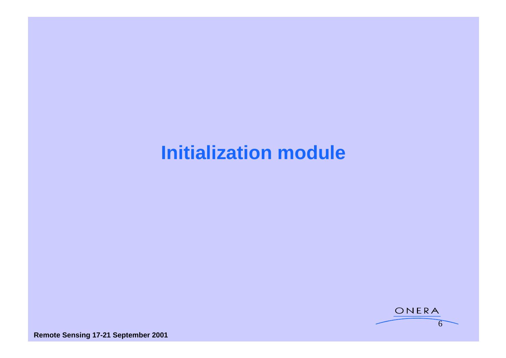# **Initialization module**

![](_page_5_Picture_1.jpeg)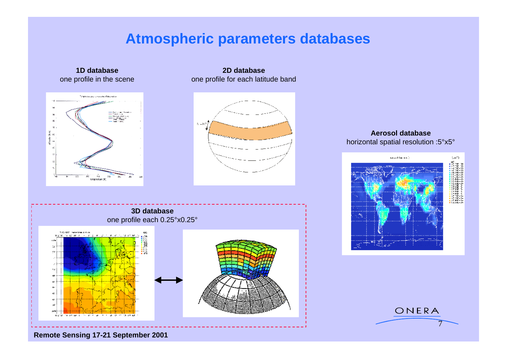### **Atmospheric parameters databases**

![](_page_6_Figure_1.jpeg)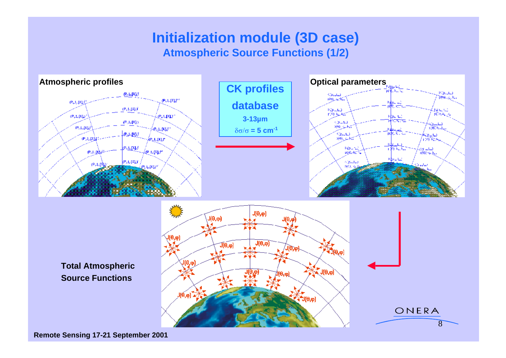### **Initialization module (3D case) Atmospheric Source Functions (1/2)**

![](_page_7_Figure_1.jpeg)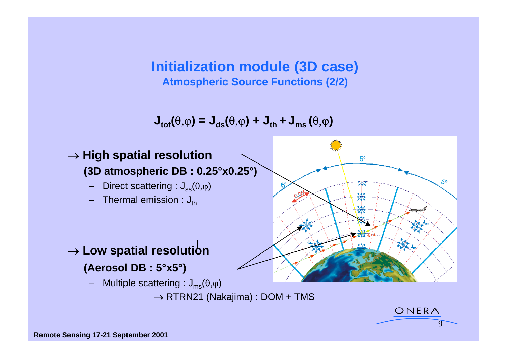**Initialization module (3D case) Atmospheric Source Functions (2/2)**

 $J_{\text{tot}}(\theta, \varphi) = J_{\text{ds}}(\theta, \varphi) + J_{\text{th}} + J_{\text{ms}}(\theta, \varphi)$ 

![](_page_8_Figure_2.jpeg)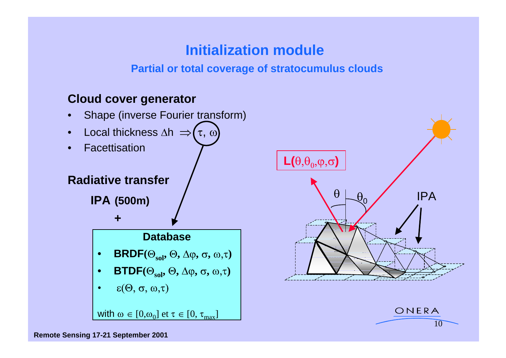### **Initialization module**

#### **Partial or total coverage of stratocumulus clouds**

#### **Cloud cover generator**

![](_page_9_Figure_3.jpeg)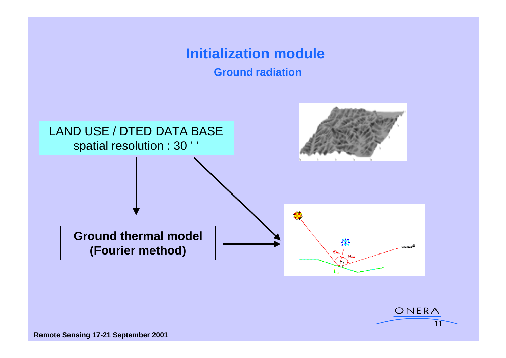## **Initialization module**

**Ground radiation**

![](_page_10_Figure_2.jpeg)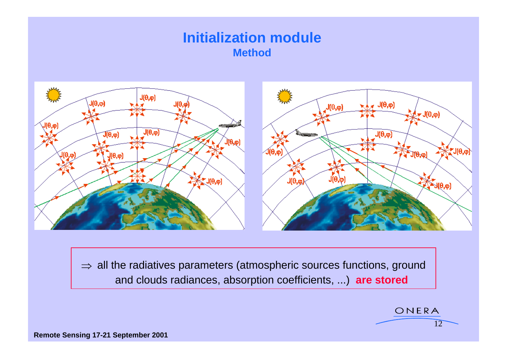### **Initialization module Method**

![](_page_11_Figure_1.jpeg)

 $\Rightarrow$  all the radiatives parameters (atmospheric sources functions, ground and clouds radiances, absorption coefficients, ...) **are stored**

ONERA

 $\sqrt{12}$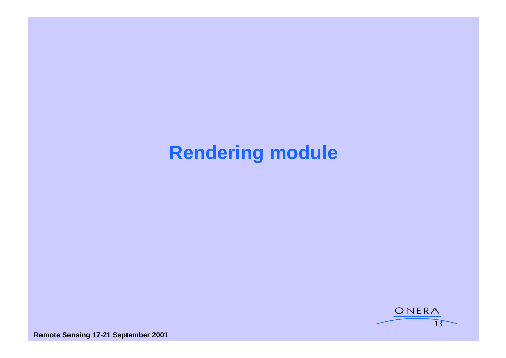# **Rendering module**

![](_page_12_Figure_1.jpeg)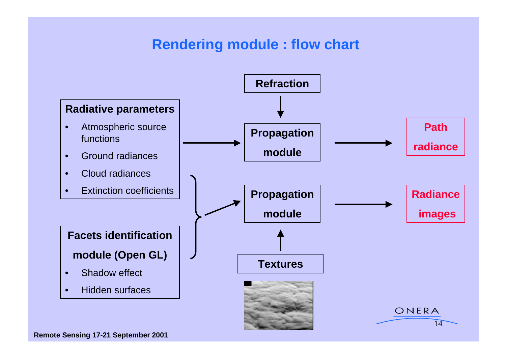### **Rendering module : flow chart**

![](_page_13_Figure_1.jpeg)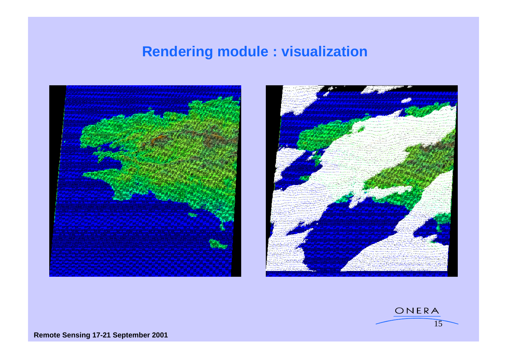### **Rendering module : visualization**

![](_page_14_Picture_1.jpeg)

![](_page_14_Picture_2.jpeg)

![](_page_14_Picture_3.jpeg)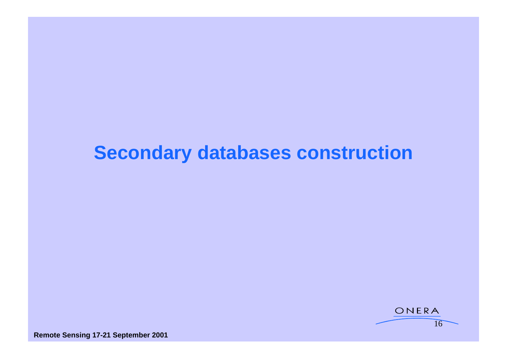# **Secondary databases construction**

![](_page_15_Picture_1.jpeg)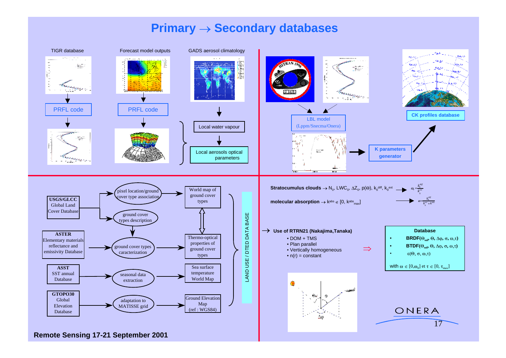#### **Primary**  $\rightarrow$  **Secondary databases**

![](_page_16_Figure_1.jpeg)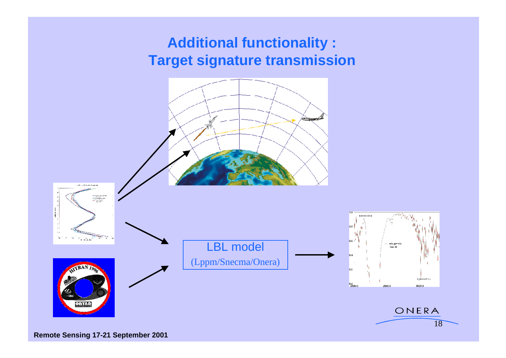### **Additional functionality : Target signature transmission**

![](_page_17_Figure_1.jpeg)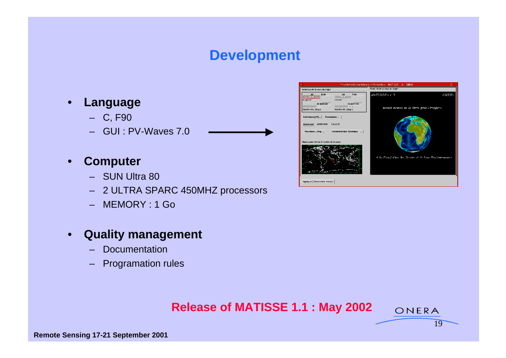### **Development**

- 
- GUI : PV-Waves 7.0

#### • **Computer**

- 
- 2 ULTRA SPARC 450MHZ processors
- MEMORY : 1 Go

#### • **Quality management**

- Documentation
- Programation rules

#### **Release of MATISSE 1.1 : May 2002**

 $19$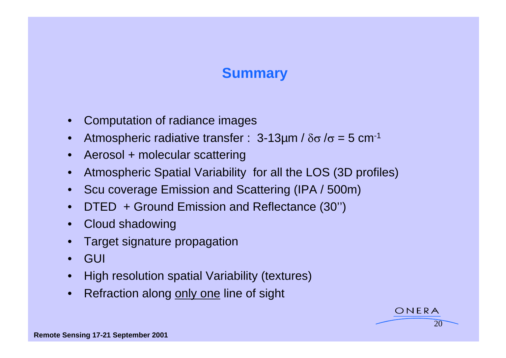### **Summary Community Community**

- Computation of radiance images
- Atmospheric radiative transfer :  $3-13\mu m / \delta \sigma / \sigma = 5$  cm<sup>-1</sup>
- Aerosol + molecular scattering
- Atmospheric Spatial Variability for all the LOS (3D profiles)
- Scu coverage Emission and Scattering (IPA / 500m)
- DTED + Ground Emission and Reflectance (30'')
- Cloud shadowing
- Target signature propagation
- GUI
- High resolution spatial Variability (textures)
- Refraction along only one line of sight

ONERA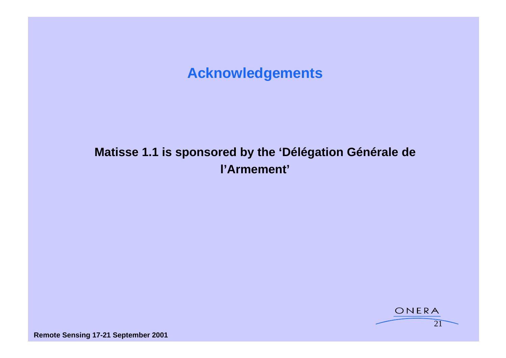### **Acknowledgements**

### **Matisse 1.1 is sponsored by the 'Délégation Générale de l'Armement'**

![](_page_20_Picture_2.jpeg)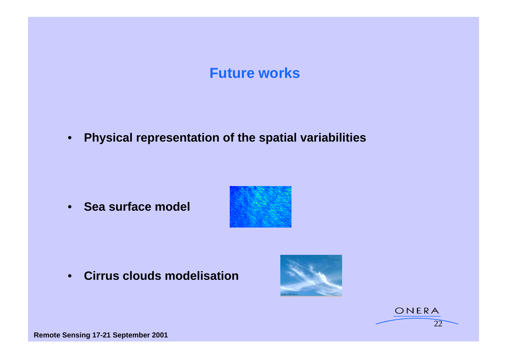### **Future works**

• **Physical representation of the spatial variabilities**

• **Sea surface model**

![](_page_21_Picture_3.jpeg)

• **Cirrus clouds modelisation**

![](_page_21_Picture_5.jpeg)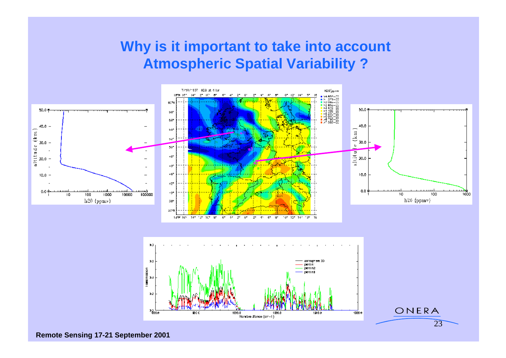### **Why is it important to take into account Atmospheric Spatial Variability ?**

![](_page_22_Figure_1.jpeg)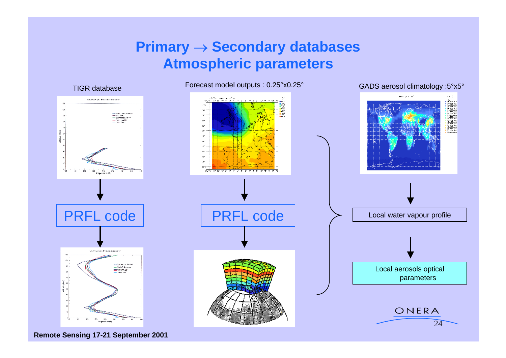### **Primary**  $\rightarrow$  **Secondary databases Atmospheric parameters**

![](_page_23_Figure_1.jpeg)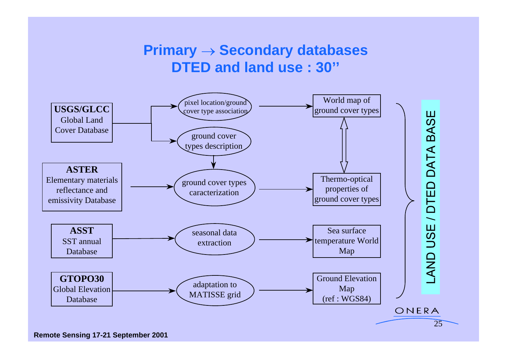### **Primary**  $\rightarrow$  **Secondary databases DTED and land use : 30''**

![](_page_24_Figure_1.jpeg)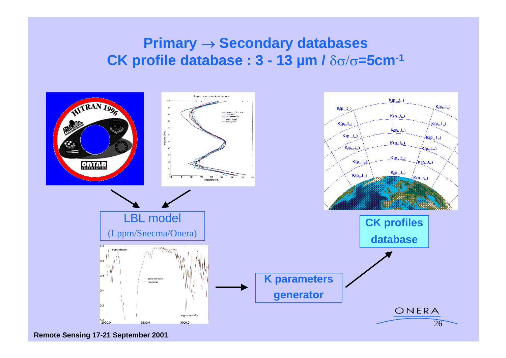### **Primary**  $\rightarrow$  **Secondary databases CK profile database :**  $3 - 13$  **µm /** $\delta\sigma/\sigma = 5$ **cm<sup>-1</sup>**

![](_page_25_Figure_1.jpeg)